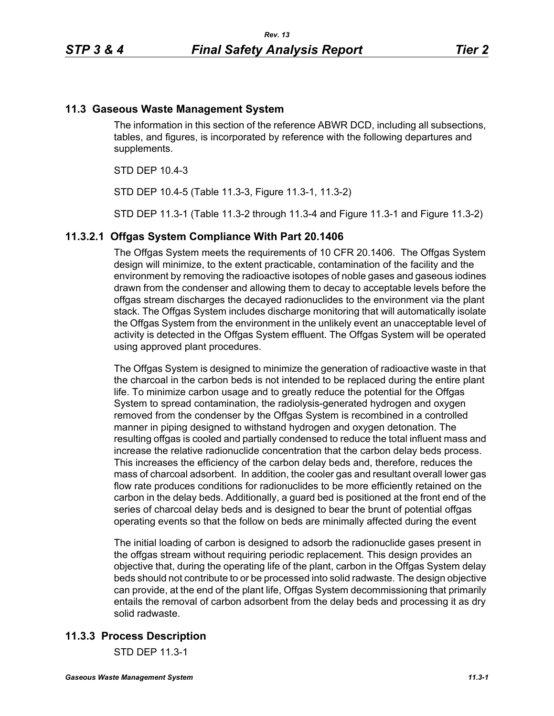## **11.3 Gaseous Waste Management System**

The information in this section of the reference ABWR DCD, including all subsections, tables, and figures, is incorporated by reference with the following departures and supplements.

STD DEP 10.4-3

STD DEP 10.4-5 (Table 11.3-3, Figure 11.3-1, 11.3-2)

STD DEP 11.3-1 (Table 11.3-2 through 11.3-4 and Figure 11.3-1 and Figure 11.3-2)

#### **11.3.2.1 Offgas System Compliance With Part 20.1406**

The Offgas System meets the requirements of 10 CFR 20.1406. The Offgas System design will minimize, to the extent practicable, contamination of the facility and the environment by removing the radioactive isotopes of noble gases and gaseous iodines drawn from the condenser and allowing them to decay to acceptable levels before the offgas stream discharges the decayed radionuclides to the environment via the plant stack. The Offgas System includes discharge monitoring that will automatically isolate the Offgas System from the environment in the unlikely event an unacceptable level of activity is detected in the Offgas System effluent. The Offgas System will be operated using approved plant procedures.

The Offgas System is designed to minimize the generation of radioactive waste in that the charcoal in the carbon beds is not intended to be replaced during the entire plant life. To minimize carbon usage and to greatly reduce the potential for the Offgas System to spread contamination, the radiolysis-generated hydrogen and oxygen removed from the condenser by the Offgas System is recombined in a controlled manner in piping designed to withstand hydrogen and oxygen detonation. The resulting offgas is cooled and partially condensed to reduce the total influent mass and increase the relative radionuclide concentration that the carbon delay beds process. This increases the efficiency of the carbon delay beds and, therefore, reduces the mass of charcoal adsorbent. In addition, the cooler gas and resultant overall lower gas flow rate produces conditions for radionuclides to be more efficiently retained on the carbon in the delay beds. Additionally, a guard bed is positioned at the front end of the series of charcoal delay beds and is designed to bear the brunt of potential offgas operating events so that the follow on beds are minimally affected during the event

The initial loading of carbon is designed to adsorb the radionuclide gases present in the offgas stream without requiring periodic replacement. This design provides an objective that, during the operating life of the plant, carbon in the Offgas System delay beds should not contribute to or be processed into solid radwaste. The design objective can provide, at the end of the plant life, Offgas System decommissioning that primarily entails the removal of carbon adsorbent from the delay beds and processing it as dry solid radwaste.

## **11.3.3 Process Description**

STD DEP 11.3-1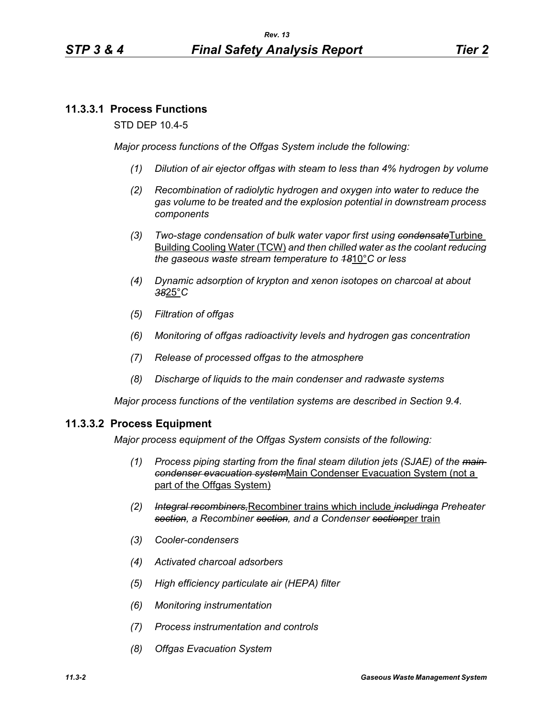## **11.3.3.1 Process Functions**

STD DEP 10.4-5

*Major process functions of the Offgas System include the following:*

- *(1) Dilution of air ejector offgas with steam to less than 4% hydrogen by volume*
- *(2) Recombination of radiolytic hydrogen and oxygen into water to reduce the gas volume to be treated and the explosion potential in downstream process components*
- *(3) Two-stage condensation of bulk water vapor first using condensate*Turbine Building Cooling Water (TCW) *and then chilled water as the coolant reducing the gaseous waste stream temperature to 18*10°*C or less*
- *(4) Dynamic adsorption of krypton and xenon isotopes on charcoal at about 38*25°*C*
- *(5) Filtration of offgas*
- *(6) Monitoring of offgas radioactivity levels and hydrogen gas concentration*
- *(7) Release of processed offgas to the atmosphere*
- *(8) Discharge of liquids to the main condenser and radwaste systems*

*Major process functions of the ventilation systems are described in Section 9.4.*

## **11.3.3.2 Process Equipment**

*Major process equipment of the Offgas System consists of the following:*

- *(1) Process piping starting from the final steam dilution jets (SJAE) of the main condenser evacuation system*Main Condenser Evacuation System (not a part of the Offgas System)
- *(2) Integral recombiners,*Recombiner trains which include *includinga Preheater section, a Recombiner section, and a Condenser section*per train
- *(3) Cooler-condensers*
- *(4) Activated charcoal adsorbers*
- *(5) High efficiency particulate air (HEPA) filter*
- *(6) Monitoring instrumentation*
- *(7) Process instrumentation and controls*
- *(8) Offgas Evacuation System*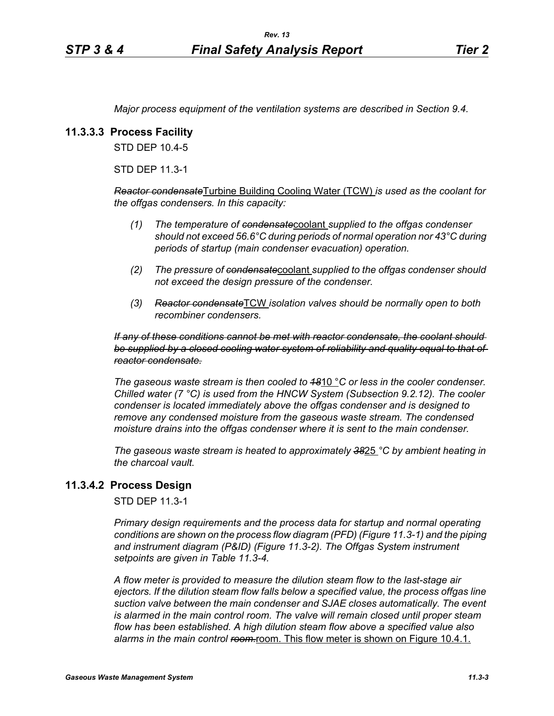*Major process equipment of the ventilation systems are described in Section 9.4.*

## **11.3.3.3 Process Facility**

STD DEP 10.4-5

STD DEP 11.3-1

*Reactor condensate*Turbine Building Cooling Water (TCW) *is used as the coolant for the offgas condensers. In this capacity:*

- *(1) The temperature of condensate*coolant *supplied to the offgas condenser should not exceed 56.6°C during periods of normal operation nor 43°C during periods of startup (main condenser evacuation) operation.*
- *(2) The pressure of condensate*coolant *supplied to the offgas condenser should not exceed the design pressure of the condenser.*
- *(3) Reactor condensate*TCW *isolation valves should be normally open to both recombiner condensers.*

*If any of these conditions cannot be met with reactor condensate, the coolant should be supplied by a closed cooling water system of reliability and quality equal to that of reactor condensate.*

*The gaseous waste stream is then cooled to 18*10 °*C or less in the cooler condenser. Chilled water (7 °C) is used from the HNCW System (Subsection 9.2.12). The cooler condenser is located immediately above the offgas condenser and is designed to remove any condensed moisture from the gaseous waste stream. The condensed moisture drains into the offgas condenser where it is sent to the main condenser.*

*The gaseous waste stream is heated to approximately 38*25 *°C by ambient heating in the charcoal vault.*

#### **11.3.4.2 Process Design**

STD DEP 11.3-1

*Primary design requirements and the process data for startup and normal operating conditions are shown on the process flow diagram (PFD) (Figure 11.3-1) and the piping and instrument diagram (P&ID) (Figure 11.3-2). The Offgas System instrument setpoints are given in Table 11.3-4.*

*A flow meter is provided to measure the dilution steam flow to the last-stage air ejectors. If the dilution steam flow falls below a specified value, the process offgas line suction valve between the main condenser and SJAE closes automatically. The event is alarmed in the main control room. The valve will remain closed until proper steam flow has been established. A high dilution steam flow above a specified value also*  alarms in the main control ream-room. This flow meter is shown on Figure 10.4.1.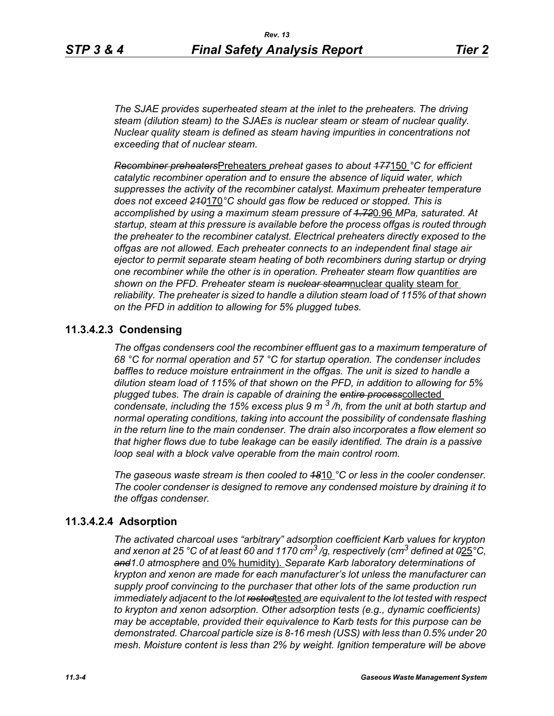*The SJAE provides superheated steam at the inlet to the preheaters. The driving steam (dilution steam) to the SJAEs is nuclear steam or steam of nuclear quality. Nuclear quality steam is defined as steam having impurities in concentrations not exceeding that of nuclear steam.*

*Recombiner preheaters*Preheaters *preheat gases to about 177*150 *°C for efficient catalytic recombiner operation and to ensure the absence of liquid water, which suppresses the activity of the recombiner catalyst. Maximum preheater temperature does not exceed 210*170*°C should gas flow be reduced or stopped. This is accomplished by using a maximum steam pressure of 1.72*0.96 *MPa, saturated. At startup, steam at this pressure is available before the process offgas is routed through the preheater to the recombiner catalyst. Electrical preheaters directly exposed to the offgas are not allowed. Each preheater connects to an independent final stage air ejector to permit separate steam heating of both recombiners during startup or drying one recombiner while the other is in operation. Preheater steam flow quantities are shown on the PFD. Preheater steam is nuclear steam*nuclear quality steam for *reliability. The preheater is sized to handle a dilution steam load of 115% of that shown on the PFD in addition to allowing for 5% plugged tubes.*

## **11.3.4.2.3 Condensing**

*The offgas condensers cool the recombiner effluent gas to a maximum temperature of 68 °C for normal operation and 57 °C for startup operation. The condenser includes baffles to reduce moisture entrainment in the offgas. The unit is sized to handle a dilution steam load of 115% of that shown on the PFD, in addition to allowing for 5% plugged tubes. The drain is capable of draining the entire process*collected *condensate, including the 15% excess plus 9 m 3 /h, from the unit at both startup and normal operating conditions, taking into account the possibility of condensate flashing in the return line to the main condenser. The drain also incorporates a flow element so that higher flows due to tube leakage can be easily identified. The drain is a passive loop seal with a block valve operable from the main control room.* 

*The gaseous waste stream is then cooled to 18*10 *°C or less in the cooler condenser. The cooler condenser is designed to remove any condensed moisture by draining it to the offgas condenser.*

## **11.3.4.2.4 Adsorption**

*The activated charcoal uses "arbitrary" adsorption coefficient Karb values for krypton and xenon at 25 °C of at least 60 and 1170 cm3 /g, respectively (cm3 defined at 0*25*°C, and1.0 atmosphere* and 0% humidity). *Separate Karb laboratory determinations of krypton and xenon are made for each manufacturer's lot unless the manufacturer can supply proof convincing to the purchaser that other lots of the same production run immediately adjacent to the lot rested*tested *are equivalent to the lot tested with respect to krypton and xenon adsorption. Other adsorption tests (e.g., dynamic coefficients) may be acceptable, provided their equivalence to Karb tests for this purpose can be demonstrated. Charcoal particle size is 8-16 mesh (USS) with less than 0.5% under 20 mesh. Moisture content is less than 2% by weight. Ignition temperature will be above*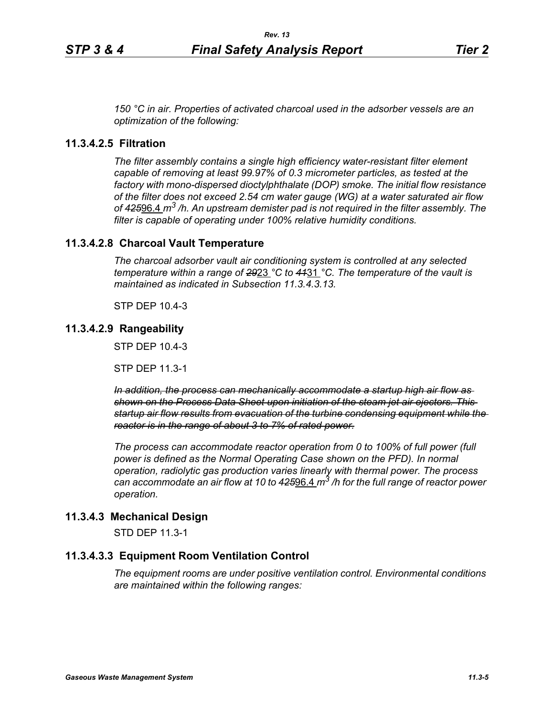*150 °C in air. Properties of activated charcoal used in the adsorber vessels are an optimization of the following:*

## **11.3.4.2.5 Filtration**

*The filter assembly contains a single high efficiency water-resistant filter element capable of removing at least 99.97% of 0.3 micrometer particles, as tested at the factory with mono-dispersed dioctylphthalate (DOP) smoke. The initial flow resistance of the filter does not exceed 2.54 cm water gauge (WG) at a water saturated air flow of 425*96.4 *m3 /h. An upstream demister pad is not required in the filter assembly. The filter is capable of operating under 100% relative humidity conditions.*

## **11.3.4.2.8 Charcoal Vault Temperature**

*The charcoal adsorber vault air conditioning system is controlled at any selected temperature within a range of 29*23 *°C to 41*31 *°C. The temperature of the vault is maintained as indicated in Subsection 11.3.4.3.13.*

STP DEP 10.4-3

## **11.3.4.2.9 Rangeability**

STP DEP 10.4-3

STP DEP 11.3-1

*In addition, the process can mechanically accommodate a startup high air flow as shown on the Process Data Sheet upon initiation of the steam jet air ejectors. This startup air flow results from evacuation of the turbine condensing equipment while the reactor is in the range of about 3 to 7% of rated power.*

*The process can accommodate reactor operation from 0 to 100% of full power (full power is defined as the Normal Operating Case shown on the PFD). In normal operation, radiolytic gas production varies linearly with thermal power. The process can accommodate an air flow at 10 to 425*96.4 *m3 /h for the full range of reactor power operation.*

## **11.3.4.3 Mechanical Design**

STD DEP 11.3-1

## **11.3.4.3.3 Equipment Room Ventilation Control**

*The equipment rooms are under positive ventilation control. Environmental conditions are maintained within the following ranges:*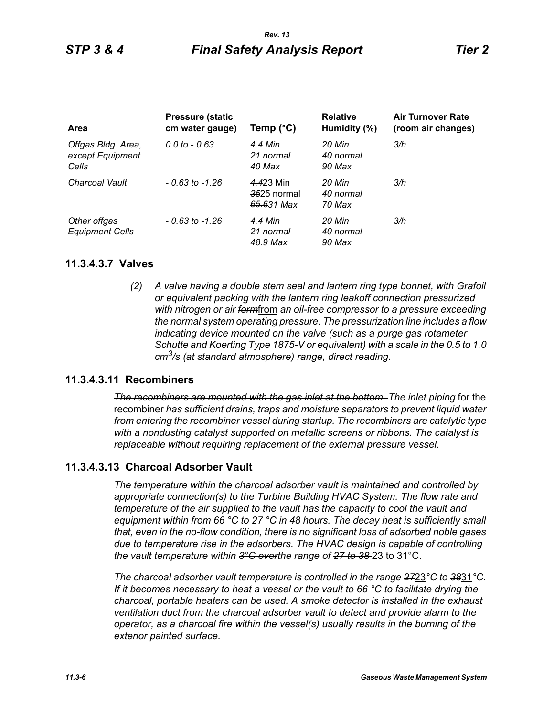| <b>Area</b>                                     | <b>Pressure (static)</b><br>cm water gauge) | Temp $(^{\circ}C)$                     | <b>Relative</b><br>Humidity (%) | <b>Air Turnover Rate</b><br>(room air changes) |
|-------------------------------------------------|---------------------------------------------|----------------------------------------|---------------------------------|------------------------------------------------|
| Offgas Bldg. Area,<br>except Equipment<br>Cells | $0.0 \text{ to } -0.63$                     | 4.4 Min<br>21 normal<br>40 Max         | 20 Min<br>40 normal<br>90 Max   | 3/h                                            |
| Charcoal Vault                                  | $-0.63$ to $-1.26$                          | 4.423 Min<br>3525 normal<br>65.631 Max | 20 Min<br>40 normal<br>70 Max   | 3/h                                            |
| Other offgas<br><b>Equipment Cells</b>          | $-0.63$ to $-1.26$                          | 4.4 Min<br>21 normal<br>48.9 Max       | 20 Min<br>40 normal<br>90 Max   | 3/h                                            |

#### **11.3.4.3.7 Valves**

*(2) A valve having a double stem seal and lantern ring type bonnet, with Grafoil or equivalent packing with the lantern ring leakoff connection pressurized with nitrogen or air form*from *an oil-free compressor to a pressure exceeding the normal system operating pressure. The pressurization line includes a flow indicating device mounted on the valve (such as a purge gas rotameter Schutte and Koerting Type 1875-V or equivalent) with a scale in the 0.5 to 1.0 cm3/s (at standard atmosphere) range, direct reading.*

## **11.3.4.3.11 Recombiners**

*The recombiners are mounted with the gas inlet at the bottom. The inlet piping for the* recombiner *has sufficient drains, traps and moisture separators to prevent liquid water from entering the recombiner vessel during startup. The recombiners are catalytic type with a nondusting catalyst supported on metallic screens or ribbons. The catalyst is replaceable without requiring replacement of the external pressure vessel.*

## **11.3.4.3.13 Charcoal Adsorber Vault**

*The temperature within the charcoal adsorber vault is maintained and controlled by appropriate connection(s) to the Turbine Building HVAC System. The flow rate and temperature of the air supplied to the vault has the capacity to cool the vault and equipment within from 66 °C to 27 °C in 48 hours. The decay heat is sufficiently small that, even in the no-flow condition, there is no significant loss of adsorbed noble gases due to temperature rise in the adsorbers. The HVAC design is capable of controlling the vault temperature within 3°C overthe range of 27 to 38* 23 to 31°C.

*The charcoal adsorber vault temperature is controlled in the range 27*23*°C to 38*31*°C. If it becomes necessary to heat a vessel or the vault to 66 °C to facilitate drying the charcoal, portable heaters can be used. A smoke detector is installed in the exhaust ventilation duct from the charcoal adsorber vault to detect and provide alarm to the operator, as a charcoal fire within the vessel(s) usually results in the burning of the exterior painted surface.*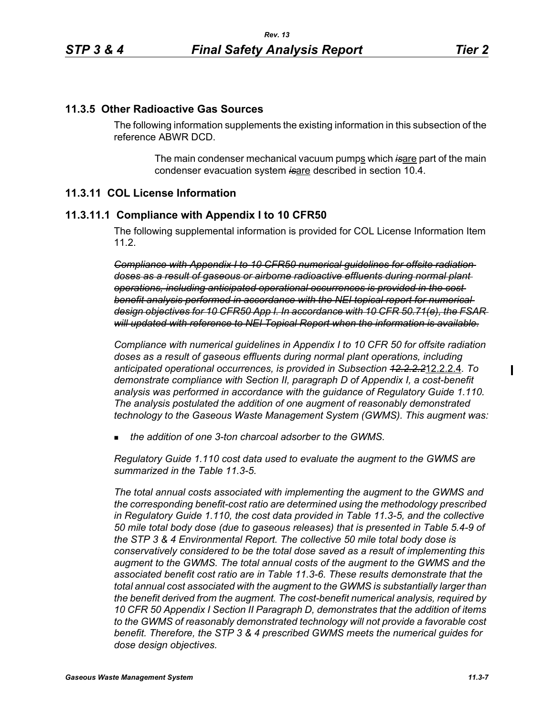## **11.3.5 Other Radioactive Gas Sources**

The following information supplements the existing information in this subsection of the reference ABWR DCD.

> The main condenser mechanical vacuum pumps which is are part of the main condenser evacuation system *is*are described in section 10.4.

## **11.3.11 COL License Information**

#### **11.3.11.1 Compliance with Appendix I to 10 CFR50**

The following supplemental information is provided for COL License Information Item 11.2.

*Compliance with Appendix I to 10 CFR50 numerical guidelines for offsite radiation doses as a result of gaseous or airborne radioactive effluents during normal plant operations, including anticipated operational occurrences is provided in the cost benefit analysis performed in accordance with the NEI topical report for numerical design objectives for 10 CFR50 App I. In accordance with 10 CFR 50.71(e), the FSAR will updated with reference to NEI Topical Report when the information is available.*

*Compliance with numerical guidelines in Appendix I to 10 CFR 50 for offsite radiation doses as a result of gaseous effluents during normal plant operations, including anticipated operational occurrences, is provided in Subsection 12.2.2.2*12.2.2.4*. To demonstrate compliance with Section II, paragraph D of Appendix I, a cost-benefit analysis was performed in accordance with the guidance of Regulatory Guide 1.110. The analysis postulated the addition of one augment of reasonably demonstrated technology to the Gaseous Waste Management System (GWMS). This augment was:*

*the addition of one 3-ton charcoal adsorber to the GWMS.*

*Regulatory Guide 1.110 cost data used to evaluate the augment to the GWMS are summarized in the Table 11.3-5.* 

*The total annual costs associated with implementing the augment to the GWMS and the corresponding benefit-cost ratio are determined using the methodology prescribed in Regulatory Guide 1.110, the cost data provided in Table 11.3-5, and the collective 50 mile total body dose (due to gaseous releases) that is presented in Table 5.4-9 of the STP 3 & 4 Environmental Report. The collective 50 mile total body dose is conservatively considered to be the total dose saved as a result of implementing this augment to the GWMS. The total annual costs of the augment to the GWMS and the associated benefit cost ratio are in Table 11.3-6. These results demonstrate that the total annual cost associated with the augment to the GWMS is substantially larger than the benefit derived from the augment. The cost-benefit numerical analysis, required by 10 CFR 50 Appendix I Section II Paragraph D, demonstrates that the addition of items to the GWMS of reasonably demonstrated technology will not provide a favorable cost benefit. Therefore, the STP 3 & 4 prescribed GWMS meets the numerical guides for dose design objectives.*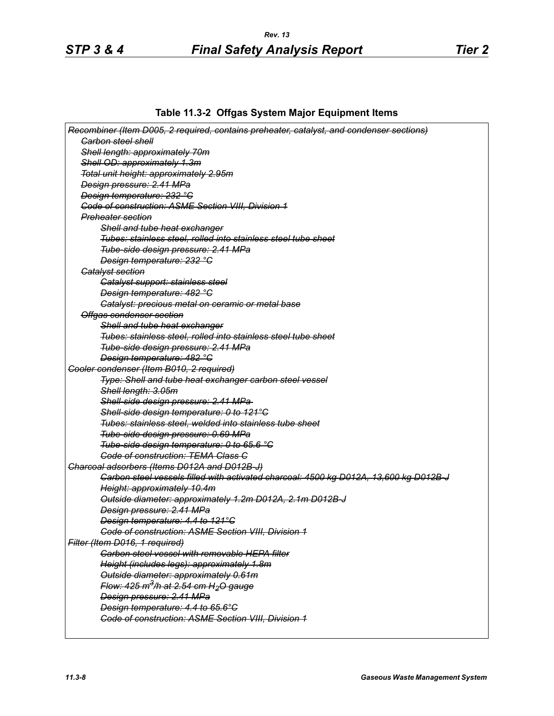## **Table 11.3-2 Offgas System Major Equipment Items**

| Recombiner (Item D005, 2 required, contains preheater, catalyst, and condenser sections) |
|------------------------------------------------------------------------------------------|
| <b>Garbon steel shell</b>                                                                |
| Shell length: approximately 70m                                                          |
| Shell OD: approximately 1.3m                                                             |
| Total unit height: approximately 2.95m                                                   |
| Design pressure: 2.41 MPa                                                                |
| Design temperature: 232 °C                                                               |
| <b>Code of construction: ASME Section VIII, Division 1</b>                               |
| Preheater section                                                                        |
| Shell and tube heat exchanger                                                            |
| Tubes: stainless steel, rolled into stainless steel tube sheet                           |
| Tube-side design pressure: 2.41 MPa                                                      |
| Design temperature: 232 °C                                                               |
| <b>Catalyst section</b>                                                                  |
| Catalyst support: stainless steel                                                        |
| <b>Design temperature: 482 °C</b>                                                        |
| Catalyst: precious metal on ceramic or metal base                                        |
| Offgas condenser section                                                                 |
| Shell and tube heat exchanger                                                            |
| Tubes: stainless steel, rolled into stainless steel tube sheet                           |
| Tube-side design pressure: 2.41 MPa                                                      |
| Design temperature: 482 °C                                                               |
| Gooler condenser (Item B010, 2 required)                                                 |
| Type: Shell and tube heat exchanger carbon steel vessel                                  |
| Shell length: 3.05m                                                                      |
| Shell-side design pressure: 2.41 MPa-                                                    |
| Shell-side design temperature: 0 to 121°C                                                |
| Tubes: stainless steel, welded into stainless tube sheet                                 |
| Tube-side design pressure: 0.69 MPa                                                      |
| Tube-side design temperature: 0 to 65.6 °C                                               |
| <b>Code of construction: TEMA Class C</b>                                                |
| Charcoal adsorbers (Items D012A and D012B-J)                                             |
| Carbon steel vessels filled with activated charcoal: 4500 kg D012A, 13,600 kg D012B J    |
| Height: approximately 10.4m                                                              |
| Outside diameter: approximately 1.2m D012A, 2.1m D012B-J                                 |
| Design pressure: 2.41 MPa                                                                |
| Design temperature: 4.4 to 121°C                                                         |
| Code of construction: ASME Section VIII, Division 1                                      |
| Filter (Item D016, 1 required)                                                           |
| <b>Carbon steel vessel with removable HEPA filter</b>                                    |
| Height (includes legs): approximately 1.8m                                               |
| Outside diameter: approximately 0.61m                                                    |
| Flow: 425 m <sup>3</sup> /h at 2.54 cm H <sub>2</sub> O gauge                            |
| Design pressure: 2.41 MPa                                                                |
| Design temperature: 4.4 to 65.6°C                                                        |
| <b>Code of construction: ASME Section VIII, Division 1</b>                               |
|                                                                                          |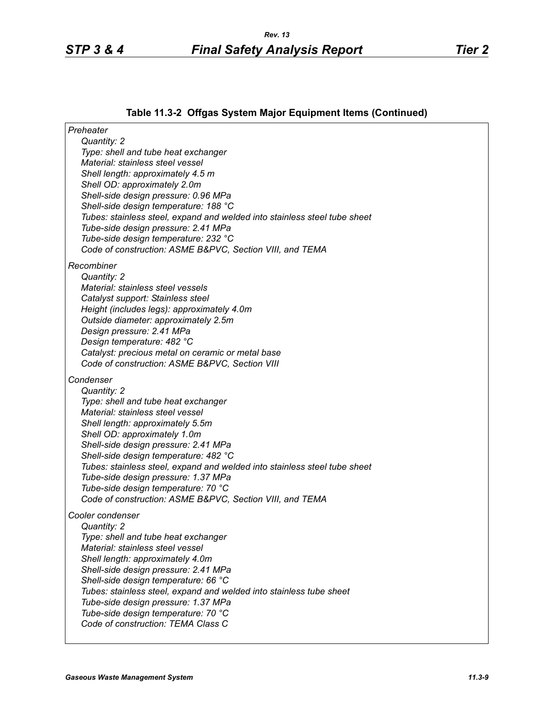# **Table 11.3-2 Offgas System Major Equipment Items (Continued)**

| Preheater                                                                  |
|----------------------------------------------------------------------------|
| Quantity: 2                                                                |
| Type: shell and tube heat exchanger<br>Material: stainless steel vessel    |
| Shell length: approximately 4.5 m                                          |
| Shell OD: approximately 2.0m                                               |
| Shell-side design pressure: 0.96 MPa                                       |
| Shell-side design temperature: 188 °C                                      |
| Tubes: stainless steel, expand and welded into stainless steel tube sheet  |
| Tube-side design pressure: 2.41 MPa                                        |
| Tube-side design temperature: 232 °C                                       |
| Code of construction: ASME B&PVC, Section VIII, and TEMA                   |
| Recombiner                                                                 |
| Quantity: 2                                                                |
| Material: stainless steel vessels                                          |
| Catalyst support: Stainless steel                                          |
| Height (includes legs): approximately 4.0m                                 |
| Outside diameter: approximately 2.5m                                       |
| Design pressure: 2.41 MPa<br>Design temperature: 482 °C                    |
| Catalyst: precious metal on ceramic or metal base                          |
| Code of construction: ASME B&PVC, Section VIII                             |
| Condenser                                                                  |
| Quantity: 2                                                                |
| Type: shell and tube heat exchanger                                        |
| Material: stainless steel vessel                                           |
| Shell length: approximately 5.5m                                           |
| Shell OD: approximately 1.0m                                               |
| Shell-side design pressure: 2.41 MPa                                       |
| Shell-side design temperature: 482 °C                                      |
| Tubes: stainless steel, expand and welded into stainless steel tube sheet  |
| Tube-side design pressure: 1.37 MPa<br>Tube-side design temperature: 70 °C |
| Code of construction: ASME B&PVC, Section VIII, and TEMA                   |
|                                                                            |
| Cooler condenser                                                           |
| Quantity: 2<br>Type: shell and tube heat exchanger                         |
| Material: stainless steel vessel                                           |
| Shell length: approximately 4.0m                                           |
| Shell-side design pressure: 2.41 MPa                                       |
| Shell-side design temperature: 66 °C                                       |
| Tubes: stainless steel, expand and welded into stainless tube sheet        |
| Tube-side design pressure: 1.37 MPa                                        |
| Tube-side design temperature: 70 °C                                        |
| Code of construction: TEMA Class C                                         |
|                                                                            |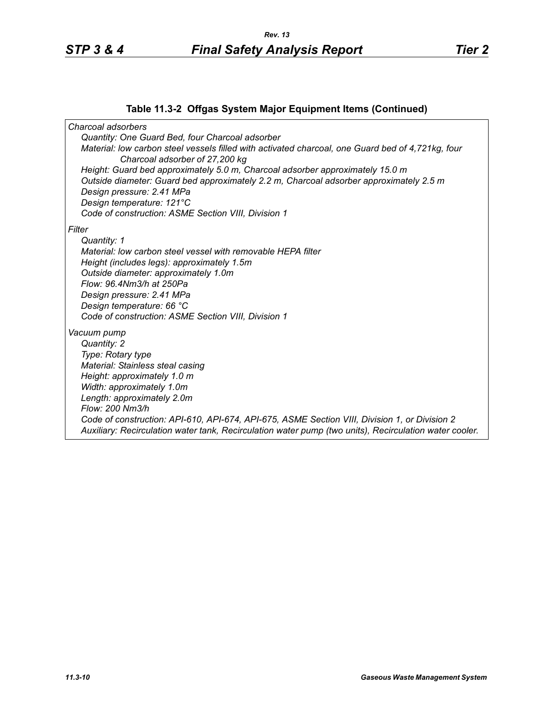## **Table 11.3-2 Offgas System Major Equipment Items (Continued)**

*Charcoal adsorbers Quantity: One Guard Bed, four Charcoal adsorber Material: low carbon steel vessels filled with activated charcoal, one Guard bed of 4,721kg, four Charcoal adsorber of 27,200 kg Height: Guard bed approximately 5.0 m, Charcoal adsorber approximately 15.0 m Outside diameter: Guard bed approximately 2.2 m, Charcoal adsorber approximately 2.5 m Design pressure: 2.41 MPa Design temperature: 121°C Code of construction: ASME Section VIII, Division 1 Filter Quantity: 1 Material: low carbon steel vessel with removable HEPA filter Height (includes legs): approximately 1.5m Outside diameter: approximately 1.0m Flow: 96.4Nm3/h at 250Pa Design pressure: 2.41 MPa Design temperature: 66 °C Code of construction: ASME Section VIII, Division 1 Vacuum pump Quantity: 2 Type: Rotary type Material: Stainless steal casing Height: approximately 1.0 m Width: approximately 1.0m Length: approximately 2.0m Flow: 200 Nm3/h Code of construction: API-610, API-674, API-675, ASME Section VIII, Division 1, or Division 2 Auxiliary: Recirculation water tank, Recirculation water pump (two units), Recirculation water cooler.*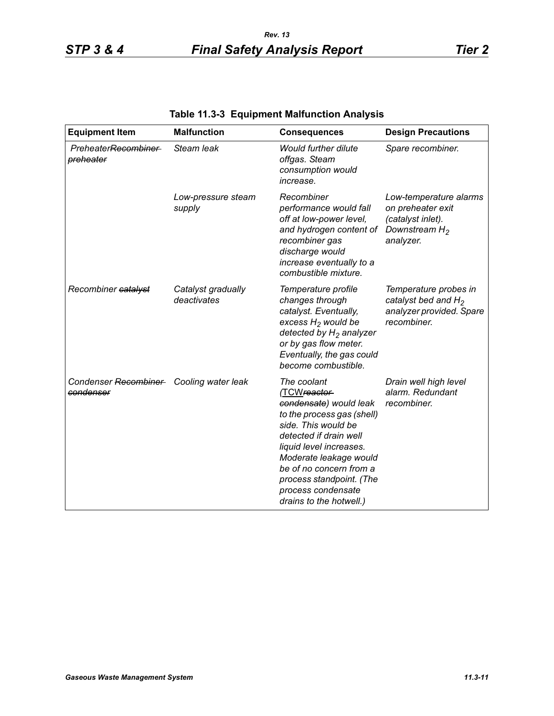| <b>Equipment Item</b>                                | <b>Malfunction</b>                | <b>Consequences</b>                                                                                                                                                                                                                                                                               | <b>Design Precautions</b>                                                                         |
|------------------------------------------------------|-----------------------------------|---------------------------------------------------------------------------------------------------------------------------------------------------------------------------------------------------------------------------------------------------------------------------------------------------|---------------------------------------------------------------------------------------------------|
| Preheater <del>Recombiner</del><br>preheater         | Steam leak                        | <b>Would further dilute</b><br>offgas. Steam<br>consumption would<br>increase.                                                                                                                                                                                                                    | Spare recombiner.                                                                                 |
|                                                      | Low-pressure steam<br>supply      | Recombiner<br>performance would fall<br>off at low-power level,<br>and hydrogen content of<br>recombiner gas<br>discharge would<br>increase eventually to a<br>combustible mixture.                                                                                                               | Low-temperature alarms<br>on preheater exit<br>(catalyst inlet).<br>Downstream $H_2$<br>analyzer. |
| Recombiner catalyst                                  | Catalyst gradually<br>deactivates | Temperature profile<br>changes through<br>catalyst. Eventually,<br>excess $H_2$ would be<br>detected by $H_2$ analyzer<br>or by gas flow meter.<br>Eventually, the gas could<br>become combustible.                                                                                               | Temperature probes in<br>catalyst bed and $H_2$<br>analyzer provided. Spare<br>recombiner.        |
| Condenser Recombiner Cooling water leak<br>condenser |                                   | The coolant<br>(TCWreactor-<br>condensate) would leak<br>to the process gas (shell)<br>side. This would be<br>detected if drain well<br>liquid level increases.<br>Moderate leakage would<br>be of no concern from a<br>process standpoint. (The<br>process condensate<br>drains to the hotwell.) | Drain well high level<br>alarm. Redundant<br>recombiner.                                          |

# **Table 11.3-3 Equipment Malfunction Analysis**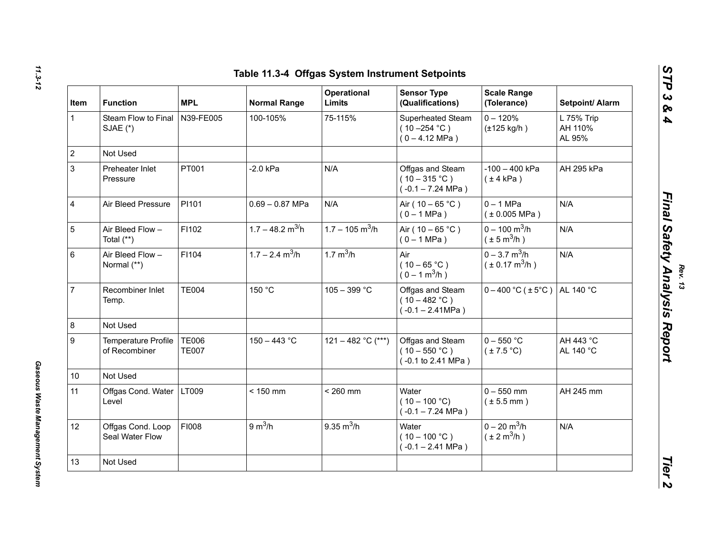| Item                    | <b>Function</b>                      | <b>MPL</b>                   | <b>Normal Range</b>            | <b>Operational</b><br><b>Limits</b> | <b>Sensor Type</b><br>(Qualifications)                           | <b>Scale Range</b><br>(Tolerance)                              | Setpoint/ Alarm                 |
|-------------------------|--------------------------------------|------------------------------|--------------------------------|-------------------------------------|------------------------------------------------------------------|----------------------------------------------------------------|---------------------------------|
| $\mathbf{1}$            | Steam Flow to Final<br>SJAE (*)      | N39-FE005                    | 100-105%                       | 75-115%                             | Superheated Steam<br>$(10 - 254 °C)$<br>$(0 - 4.12 \text{ MPa})$ | $0 - 120%$<br>$(\pm 125 \text{ kg/h})$                         | L 75% Trip<br>AH 110%<br>AL 95% |
| $\overline{2}$          | Not Used                             |                              |                                |                                     |                                                                  |                                                                |                                 |
|                         | Preheater Inlet<br>Pressure          | PT001                        | $-2.0$ kPa                     | N/A                                 | Offgas and Steam<br>$(10-315 °C)$<br>$(-0.1 - 7.24 \text{ MPa})$ | $-100 - 400$ kPa<br>$(\pm 4$ kPa)                              | AH 295 kPa                      |
| $\overline{\mathbf{4}}$ | Air Bleed Pressure                   | PI101                        | $0.69 - 0.87$ MPa              | N/A                                 | Air ( $10 - 65$ °C)<br>$(0 - 1 MPa)$                             | $0 - 1$ MPa<br>(± 0.005 MPa)                                   | N/A                             |
| $\overline{5}$          | Air Bleed Flow -<br>Total $(**)$     | FI102                        | $1.7 - 48.2$ m <sup>3/</sup> h | $1.7 - 105$ m <sup>3</sup> /h       | Air ( $10 - 65$ °C)<br>$(0 - 1 MPa)$                             | $0 - 100$ m <sup>3</sup> /h<br>$(\pm 5 \,\text{m}^3/\text{h})$ | N/A                             |
| 6                       | Air Bleed Flow -<br>Normal (**)      | F1104                        | $1.7 - 2.4$ m <sup>3</sup> /h  | $1.7 \text{ m}^3/h$                 | Air<br>$(10 - 65 °C)$<br>$(0 - 1 m3/h)$                          | $0 - 3.7$ m <sup>3</sup> /h<br>$(\pm 0.17 \text{ m}^3/h)$      | N/A                             |
| $\overline{7}$          | Recombiner Inlet<br>Temp.            | <b>TE004</b>                 | 150 °C                         | $105 - 399 °C$                      | Offgas and Steam<br>$(10 - 482 °C)$<br>$(-0.1 - 2.41 MPa)$       | $0 - 400$ °C ( $\pm$ 5°C) AL 140 °C                            |                                 |
| $\overline{8}$          | Not Used                             |                              |                                |                                     |                                                                  |                                                                |                                 |
|                         | Temperature Profile<br>of Recombiner | <b>TE006</b><br><b>TE007</b> | $150 - 443 °C$                 | 121 - 482 °C (***)                  | Offgas and Steam<br>$(10 - 550 °C)$<br>(-0.1 to 2.41 MPa)        | $0 - 550 °C$<br>$(\pm 7.5$ °C)                                 | AH 443 °C<br>AL 140 °C          |
| 10                      | Not Used                             |                              |                                |                                     |                                                                  |                                                                |                                 |
| 11                      | Offgas Cond. Water   LT009<br>Level  |                              | $< 150$ mm                     | $< 260$ mm                          | Water<br>$(10 - 100 °C)$<br>$(-0.1 - 7.24 \text{ MPa})$          | $0 - 550$ mm<br>$(\pm 5.5$ mm)                                 | AH 245 mm                       |
| 12                      | Offgas Cond. Loop<br>Seal Water Flow | <b>FI008</b>                 | 9 m <sup>3</sup> /h            | $9.35 \text{ m}^3/h$                | Water<br>$(10 - 100 °C)$<br>$(-0.1 - 2.41$ MPa)                  | $0 - 20$ m <sup>3</sup> /h<br>$(\pm 2 \text{ m}^3/\text{h})$   | N/A                             |
| 13                      | Not Used                             |                              |                                |                                     |                                                                  |                                                                |                                 |

*Rev. 13*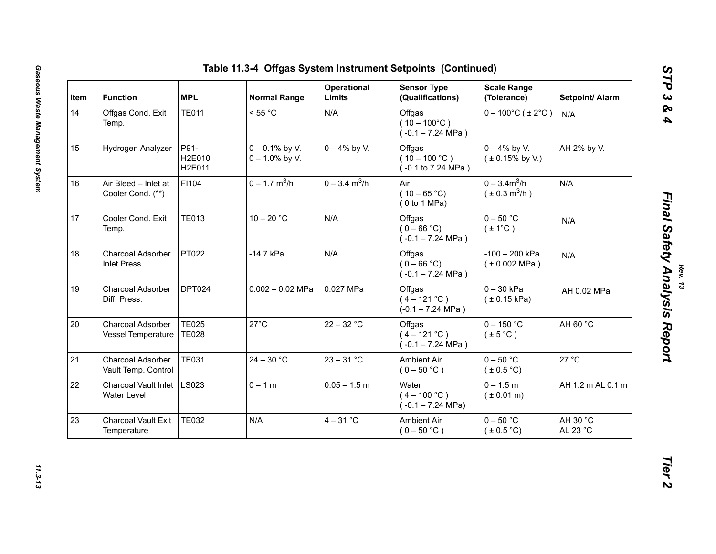| Item | <b>Function</b>                           | <b>MPL</b>                   | <b>Normal Range</b>                    | Operational<br>Limits       | <b>Sensor Type</b><br>(Qualifications)                         | <b>Scale Range</b><br>(Tolerance)           | Setpoint/ Alarm      |
|------|-------------------------------------------|------------------------------|----------------------------------------|-----------------------------|----------------------------------------------------------------|---------------------------------------------|----------------------|
| 14   | Offgas Cond. Exit<br>Temp.                | <b>TE011</b>                 | < 55 °C                                | N/A                         | Offgas<br>$(10 - 100^{\circ}C)$<br>$(-0.1 - 7.24 \text{ MPa})$ | $0 - 100^{\circ}$ C (±2°C)                  | N/A                  |
| 15   | Hydrogen Analyzer                         | P91-<br>H2E010<br>H2E011     | $0 - 0.1\%$ by V.<br>$0 - 1.0\%$ by V. | $0 - 4\%$ by V.             | Offgas<br>$(10 - 100 °C)$<br>(-0.1 to 7.24 MPa)                | $0 - 4\%$ by V.<br>$(± 0.15\%$ by V.)       | AH 2% by V.          |
| 16   | Air Bleed - Inlet at<br>Cooler Cond. (**) | F1104                        | $0 - 1.7$ m <sup>3</sup> /h            | $0 - 3.4$ m <sup>3</sup> /h | Air<br>$(10 - 65 °C)$<br>(0 to 1 MPa)                          | $0 - 3.4 m3/h$<br>$(\pm 0.3 \text{ m}^3/h)$ | N/A                  |
| 17   | Cooler Cond. Exit<br>Temp.                | <b>TE013</b>                 | $10 - 20 °C$                           | N/A                         | Offgas<br>$(0 - 66 °C)$<br>$(-0.1 - 7.24 \text{ MPa})$         | $0 - 50$ °C<br>$(\pm 1^{\circ}C)$           | N/A                  |
| 18   | Charcoal Adsorber<br>Inlet Press.         | PT022                        | -14.7 kPa                              | N/A                         | Offgas<br>$(0 - 66 °C)$<br>$(-0.1 - 7.24 \text{ MPa})$         | -100 - 200 kPa<br>(±0.002 MPa)              | N/A                  |
| 19   | Charcoal Adsorber<br>Diff. Press.         | DPT024                       | $0.002 - 0.02$ MPa                     | 0.027 MPa                   | Offgas<br>$(4 - 121 °C)$<br>$(-0.1 - 7.24$ MPa)                | $0 - 30$ kPa<br>(± 0.15 kPa)                | AH 0.02 MPa          |
| 20   | Charcoal Adsorber<br>Vessel Temperature   | <b>TE025</b><br><b>TE028</b> | $27^{\circ}$ C                         | $22 - 32 °C$                | Offgas<br>$(4 - 121 °C)$<br>$(-0.1 - 7.24 \text{ MPa})$        | $0 - 150$ °C<br>$(\pm 5^{\circ}C)$          | AH 60 °C             |
| 21   | Charcoal Adsorber<br>Vault Temp. Control  | <b>TE031</b>                 | $24 - 30 °C$                           | $23 - 31 °C$                | <b>Ambient Air</b><br>$(0 - 50 °C)$                            | $0 - 50$ °C<br>(±0.5 °C)                    | 27 °C                |
| 22   | Charcoal Vault Inlet<br>Water Level       | LS023                        | $0 - 1 m$                              | $0.05 - 1.5$ m              | Water<br>$(4 - 100 °C)$<br>$(-0.1 - 7.24 \text{ MPa})$         | $0 - 1.5 m$<br>$(* 0.01 m)$                 | AH 1.2 m AL 0.1 m    |
| 23   | Charcoal Vault Exit<br>Temperature        | <b>TE032</b>                 | N/A                                    | $4 - 31$ °C                 | Ambient Air<br>$(0 - 50 °C)$                                   | $0 - 50$ °C<br>$(\pm 0.5^{\circ}C)$         | AH 30 °C<br>AL 23 °C |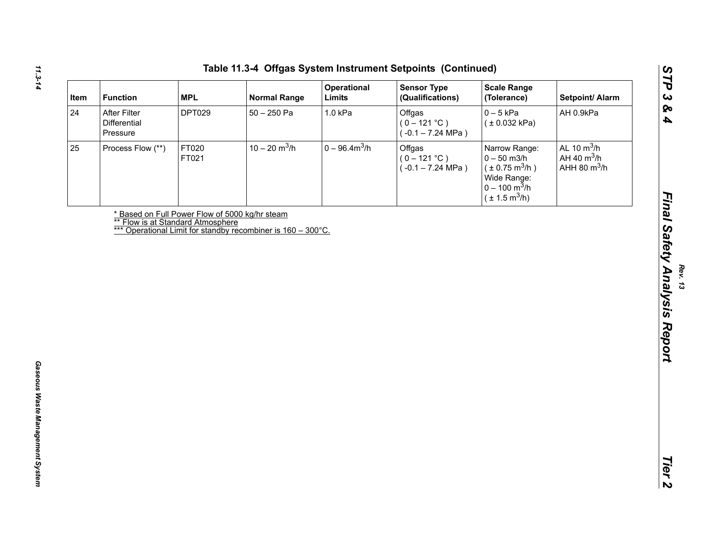| Item | <b>Function</b>                          | <b>MPL</b>     | <b>Normal Range</b>                                                                                                                                 | Operational<br>Limits | <b>Sensor Type</b><br>(Qualifications)                  | <b>Scale Range</b><br>(Tolerance)                                                                                                      | Setpoint/ Alarm                                  |
|------|------------------------------------------|----------------|-----------------------------------------------------------------------------------------------------------------------------------------------------|-----------------------|---------------------------------------------------------|----------------------------------------------------------------------------------------------------------------------------------------|--------------------------------------------------|
| 24   | After Filter<br>Differential<br>Pressure | <b>DPT029</b>  | $50 - 250$ Pa                                                                                                                                       | 1.0 kPa               | Offgas<br>$(0 - 121 °C)$<br>$(-0.1 - 7.24 \text{ MPa})$ | $0 - 5$ kPa<br>(± 0.032 kPa)                                                                                                           | AH 0.9kPa                                        |
| 25   | Process Flow (**)                        | FT020<br>FT021 | $10 - 20$ m <sup>3</sup> /h                                                                                                                         | $0 - 96.4 m3/h$       | Offgas<br>$(0 - 121 °C)$<br>$(-0.1 - 7.24 \text{ MPa})$ | Narrow Range:<br>$0 - 50$ m $3/h$<br>$(\pm 0.75 \text{ m}^3/h)$<br>Wide Range:<br>$0 - 100 \text{ m}^3/h$<br>$(\pm 1.5 \text{ m}^3/h)$ | AL 10 $m^3/h$<br>AH 40 $m^3/h$<br>AHH 80 $m^3/h$ |
|      |                                          |                | * Based on Full Power Flow of 5000 kg/hr steam<br>** Flow is at Standard Atmosphere<br>*** Operational Limit for standby recombiner is 160 – 300°C. |                       |                                                         |                                                                                                                                        |                                                  |
|      |                                          |                |                                                                                                                                                     |                       |                                                         |                                                                                                                                        |                                                  |
|      |                                          |                |                                                                                                                                                     |                       |                                                         |                                                                                                                                        |                                                  |
|      |                                          |                |                                                                                                                                                     |                       |                                                         |                                                                                                                                        |                                                  |
|      |                                          |                |                                                                                                                                                     |                       |                                                         |                                                                                                                                        |                                                  |
|      |                                          |                |                                                                                                                                                     |                       |                                                         |                                                                                                                                        |                                                  |
|      |                                          |                |                                                                                                                                                     |                       |                                                         |                                                                                                                                        |                                                  |
|      |                                          |                |                                                                                                                                                     |                       |                                                         |                                                                                                                                        |                                                  |
|      |                                          |                |                                                                                                                                                     |                       |                                                         |                                                                                                                                        |                                                  |
|      |                                          |                |                                                                                                                                                     |                       |                                                         |                                                                                                                                        |                                                  |
|      |                                          |                |                                                                                                                                                     |                       |                                                         |                                                                                                                                        |                                                  |
|      |                                          |                |                                                                                                                                                     |                       |                                                         |                                                                                                                                        |                                                  |
|      |                                          |                |                                                                                                                                                     |                       |                                                         |                                                                                                                                        |                                                  |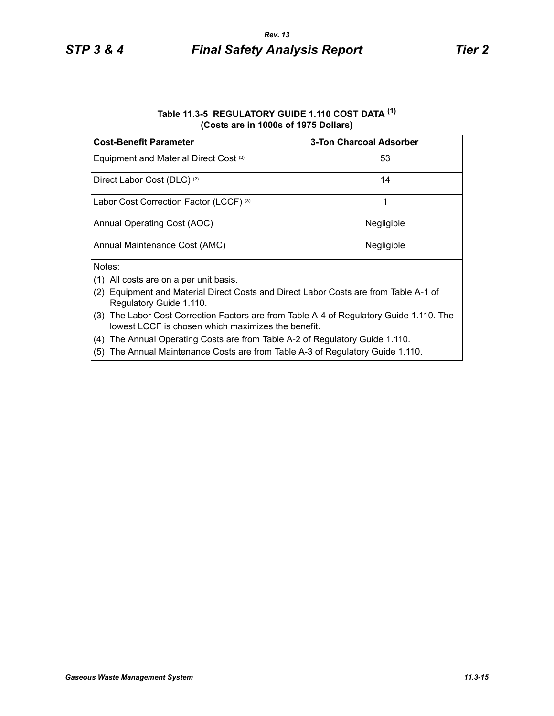## **Table 11.3-5 REGULATORY GUIDE 1.110 COST DATA (1) (Costs are in 1000s of 1975 Dollars)**

| <b>Cost-Benefit Parameter</b>                     | <b>3-Ton Charcoal Adsorber</b> |
|---------------------------------------------------|--------------------------------|
| Equipment and Material Direct Cost <sup>(2)</sup> | 53                             |
| Direct Labor Cost (DLC) <sup>(2)</sup>            | 14                             |
| Labor Cost Correction Factor (LCCF) (3)           |                                |
| Annual Operating Cost (AOC)                       | Negligible                     |
| Annual Maintenance Cost (AMC)                     | Negligible                     |
| Notes:                                            |                                |

- $(1)$  All costs are on a per unit basis.
- (2) Equipment and Material Direct Costs and Direct Labor Costs are from Table A-1 of Regulatory Guide 1.110.
- (3) The Labor Cost Correction Factors are from Table A-4 of Regulatory Guide 1.110. The lowest LCCF is chosen which maximizes the benefit.
- (4) The Annual Operating Costs are from Table A-2 of Regulatory Guide 1.110.
- (5) The Annual Maintenance Costs are from Table A-3 of Regulatory Guide 1.110.